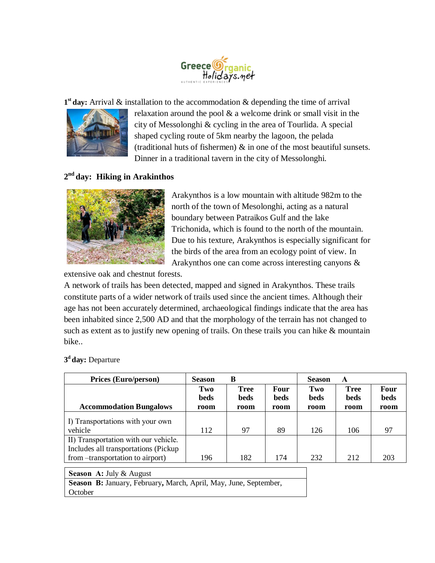

1<sup>st</sup> day: Arrival & installation to the accommodation & depending the time of arrival



relaxation around the pool & a welcome drink or small visit in the city of Messolonghi & cycling in the area of Tourlida. A special shaped cycling route of 5km nearby the lagoon, the pelada (traditional huts of fishermen)  $\&$  in one of the most beautiful sunsets. Dinner in a traditional tavern in the city of Messolonghi.

## **2 nd day: Hiking in Arakinthos**



Arakynthos is a low mountain with altitude 982m to the north of the town of Mesolonghi, acting as a natural boundary between Patraikos Gulf and the lake Trichonida, which is found to the north of the mountain. Due to his texture, Arakynthos is especially significant for the birds of the area from an ecology point of view. In Arakynthos one can come across interesting canyons &

extensive oak and chestnut forests.

A network of trails has been detected, mapped and signed in Arakynthos. These trails constitute parts of a wider network of trails used since the ancient times. Although their age has not been accurately determined, archaeological findings indicate that the area has been inhabited since 2,500 AD and that the morphology of the terrain has not changed to such as extent as to justify new opening of trails. On these trails you can hike & mountain bike..

| <b>Prices (Euro/person)</b>                                                                                        | <b>Season</b>       | B                                  |                      | <b>Season</b>       | A                           |                             |
|--------------------------------------------------------------------------------------------------------------------|---------------------|------------------------------------|----------------------|---------------------|-----------------------------|-----------------------------|
| <b>Accommodation Bungalows</b>                                                                                     | Two<br>beds<br>room | <b>Tree</b><br><b>beds</b><br>room | Four<br>beds<br>room | Two<br>beds<br>room | <b>Tree</b><br>beds<br>room | <b>Four</b><br>beds<br>room |
| I) Transportations with your own<br>vehicle                                                                        | 112                 | 97                                 | 89                   | 126                 | 106                         | 97                          |
| II) Transportation with our vehicle.<br>Includes all transportations (Pickup)<br>from --transportation to airport) | 196                 | 182                                | 174                  | 232                 | 212                         | 203                         |
| <b>Season A: July &amp; August</b>                                                                                 |                     |                                    |                      |                     |                             |                             |

## **3 <sup>d</sup>day:** Departure

**Season Β:** January, February**,** March, April, May, June, September, **October**